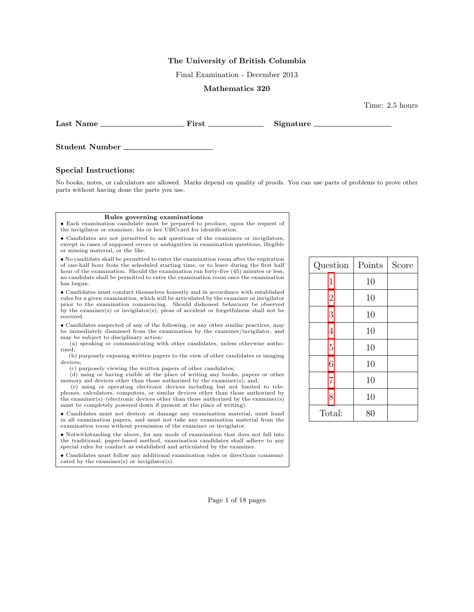## The University of British Columbia

Final Examination - December 2013

## Mathematics 320

Last Name First Signature

Time: 2.5 hours

Student Number

## Special Instructions:

No books, notes, or calculators are allowed. Marks depend on quality of proofs. You can use parts of problems to prove other parts without having done the parts you use.

## Rules governing examinations

• Each examination candidate must be prepared to produce, upon the request of the invigilator or examiner, his or her UBCcard for identification.

• Candidates are not permitted to ask questions of the examiners or invigilators, except in cases of supposed errors or ambiguities in examination questions, illegible or missing material, or the like.

• No candidate shall be permitted to enter the examination room after the expiration of one-half hour from the scheduled starting time, or to leave during the first half hour of the examination. Should the examination run forty-five (45) minutes or less, no candidate shall be permitted to enter the examination room once the examination has begun.

• Candidates must conduct themselves honestly and in accordance with established rules for a given examination, which will be articulated by the examiner or invigilator prior to the examination commencing. Should dishonest behaviour be observed by the examiner(s) or invigilator(s), pleas of accident or forgetfulness shall not be received.

• Candidates suspected of any of the following, or any other similar practices, may be immediately dismissed from the examination by the examiner/invigilator, and may be subject to disciplinary action:

(a) speaking or communicating with other candidates, unless otherwise authorized;

(b) purposely exposing written papers to the view of other candidates or imaging devices;

(c) purposely viewing the written papers of other candidates;

(d) using or having visible at the place of writing any books, papers or other memory aid devices other than those authorized by the examiner(s); and,

(e) using or operating electronic devices including but not limited to telephones, calculators, computers, or similar devices other than those authorized by the examiner(s)–(electronic devices other than those authorized by the examiner(s) must be completely powered down if present at the place of writing).

• Candidates must not destroy or damage any examination material, must hand in all examination papers, and must not take any examination material from the examination room without permission of the examiner or invigilator.

• Notwithstanding the above, for any mode of examination that does not fall into the traditional, paper-based method, examination candidates shall adhere to any special rules for conduct as established and articulated by the examiner.

• Candidates must follow any additional examination rules or directions communicated by the examiner(s) or invigilator(s).

| Question       | Points | Score |
|----------------|--------|-------|
| $\mathbf 1$    | 10     |       |
| $\overline{2}$ | 10     |       |
| 3              | 10     |       |
| 4              | 10     |       |
| $\overline{5}$ | 10     |       |
| 6              | 10     |       |
| $\overline{7}$ | 10     |       |
| 8              | 10     |       |
| Total:         | 80     |       |

Page 1 of 18 pages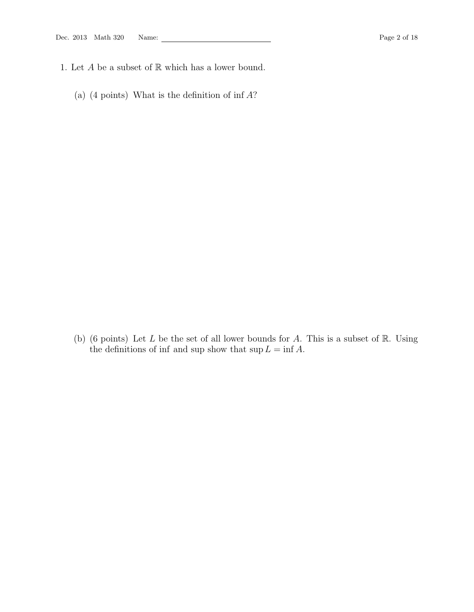- <span id="page-1-0"></span>1. Let  $A$  be a subset of  $\mathbb R$  which has a lower bound.
	- (a)  $(4 \text{ points})$  What is the definition of inf  $A$ ?

(b) (6 points) Let  $L$  be the set of all lower bounds for  $A$ . This is a subset of  $\mathbb R$ . Using the definitions of inf and sup show that  $\sup L = \inf A$ .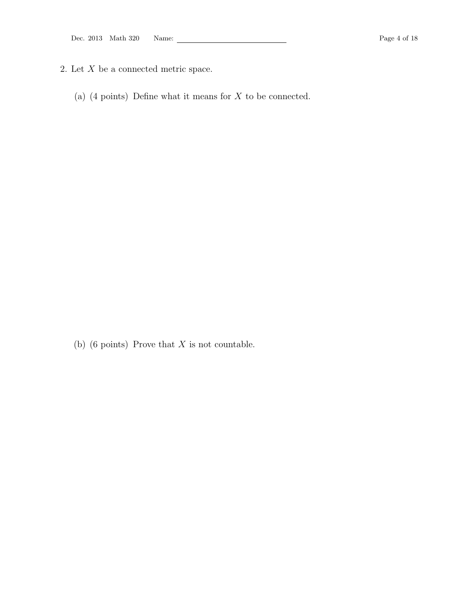- <span id="page-3-0"></span>2. Let  $X$  be a connected metric space.
	- (a)  $(4 \text{ points})$  Define what it means for  $X$  to be connected.

(b) (6 points) Prove that  $X$  is not countable.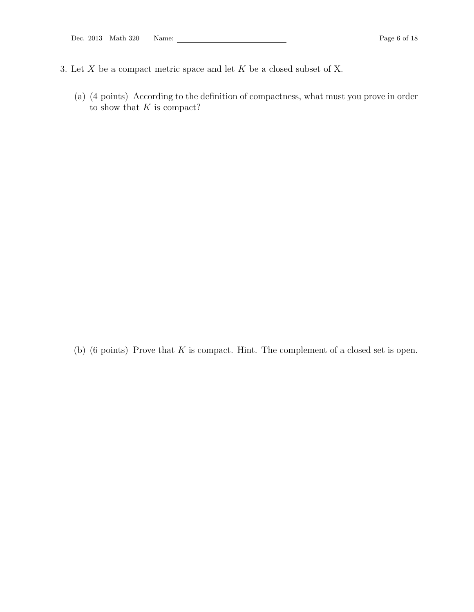- <span id="page-5-0"></span>3. Let  $X$  be a compact metric space and let  $K$  be a closed subset of X.
	- (a) (4 points) According to the definition of compactness, what must you prove in order to show that  $K$  is compact?

(b)  $(6 \text{ points})$  Prove that  $K$  is compact. Hint. The complement of a closed set is open.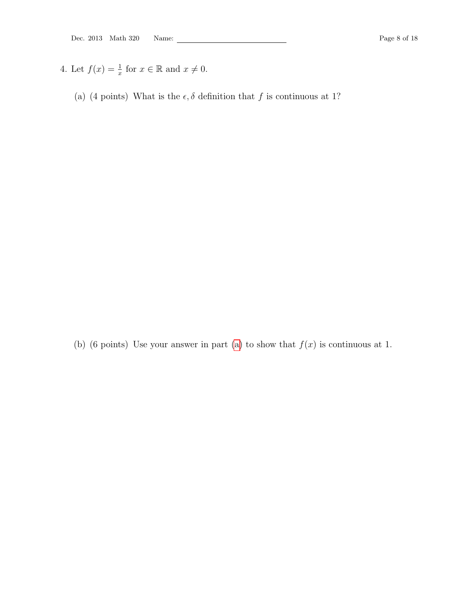- <span id="page-7-1"></span><span id="page-7-0"></span>4. Let  $f(x) = \frac{1}{x}$  for  $x \in \mathbb{R}$  and  $x \neq 0$ .
	- (a) (4 points) What is the  $\epsilon, \delta$  definition that  $f$  is continuous at 1?

(b) (6 points) Use your answer in part [\(a\)](#page-7-1) to show that  $f(x)$  is continuous at 1.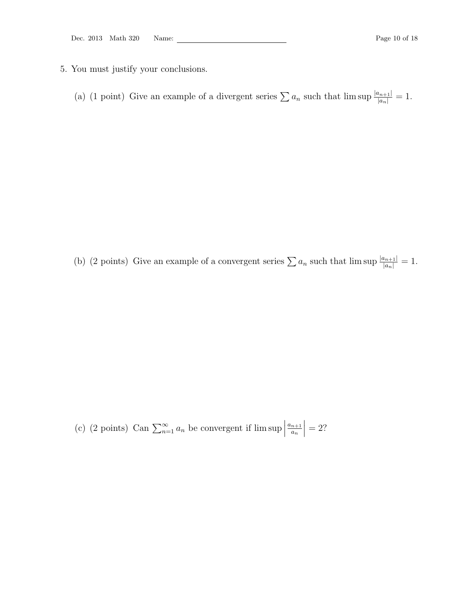- <span id="page-9-0"></span>5. You must justify your conclusions.
	- (a) (1 point) Give an example of a divergent series  $\sum a_n$  such that  $\limsup \frac{|a_{n+1}|}{|a_n|} = 1$ .

(b) (2 points) Give an example of a convergent series  $\sum a_n$  such that  $\limsup \frac{|a_{n+1}|}{|a_n|} = 1$ .

(c) (2 points) Can  $\sum_{n=1}^{\infty} a_n$  be convergent if lim sup  $a_{n+1}$ an  $\begin{array}{c} \begin{array}{c} \begin{array}{c} \end{array} \\ \begin{array}{c} \end{array} \end{array} \end{array}$  $= 2?$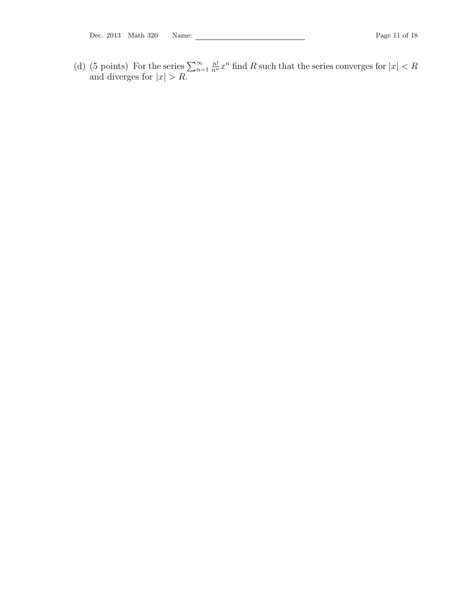(d) (5 points) For the series  $\sum_{n=1}^{\infty}$  $\frac{n!}{n^n}x^n$  find R such that the series converges for  $|x| < R$ and diverges for  $|x| > R$ .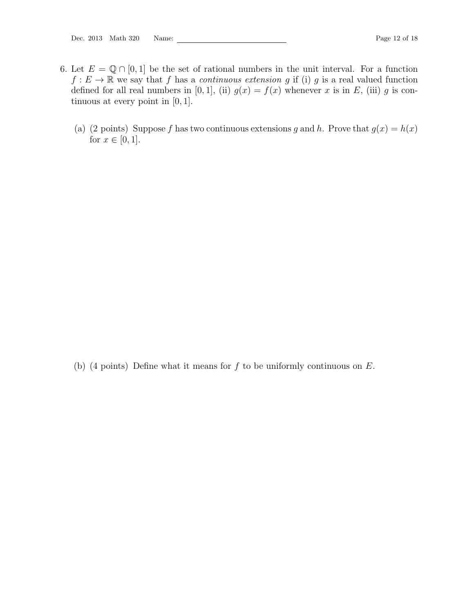- <span id="page-11-0"></span>6. Let  $E = \mathbb{Q} \cap [0,1]$  be the set of rational numbers in the unit interval. For a function  $f: E \to \mathbb{R}$  we say that f has a *continuous extension* g if (i) g is a real valued function defined for all real numbers in [0, 1], (ii)  $g(x) = f(x)$  whenever x is in E, (iii) g is continuous at every point in [0, 1].
	- (a) (2 points) Suppose f has two continuous extensions g and h. Prove that  $g(x) = h(x)$ for  $x \in [0, 1]$ .

(b) (4 points) Define what it means for  $f$  to be uniformly continuous on  $E$ .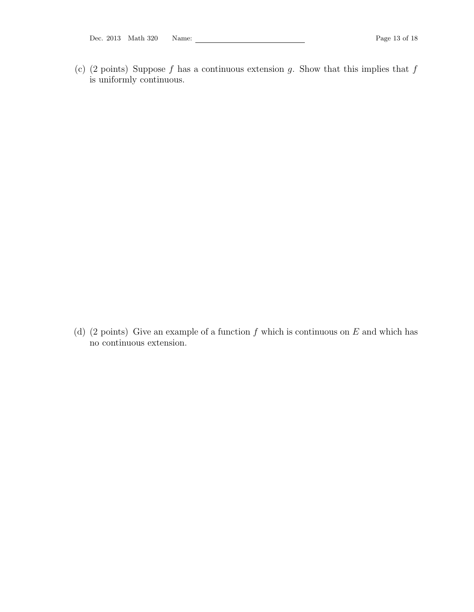Dec. 2013 Math 320 Name: Page 13 of 18

(c) (2 points) Suppose f has a continuous extension g. Show that this implies that  $f$ is uniformly continuous.

(d) (2 points) Give an example of a function  $f$  which is continuous on  $E$  and which has no continuous extension.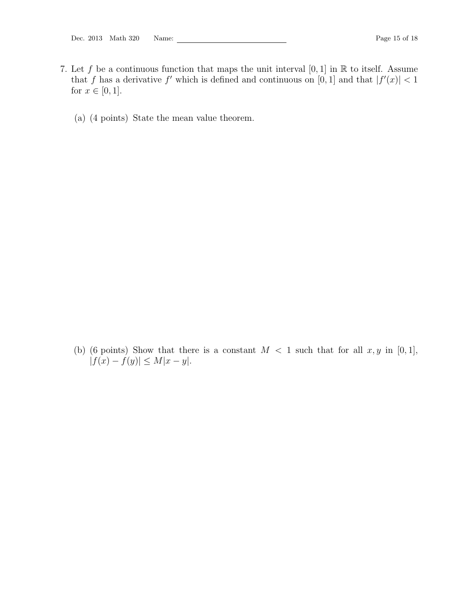- <span id="page-14-0"></span>7. Let f be a continuous function that maps the unit interval  $[0, 1]$  in  $\mathbb R$  to itself. Assume that f has a derivative f' which is defined and continuous on [0, 1] and that  $|f'(x)| < 1$ for  $x \in [0, 1]$ .
	- (a) (4 points) State the mean value theorem.

(b) (6 points) Show that there is a constant  $M < 1$  such that for all  $x, y$  in [0,1],  $|f(x) - f(y)| \le M|x - y|.$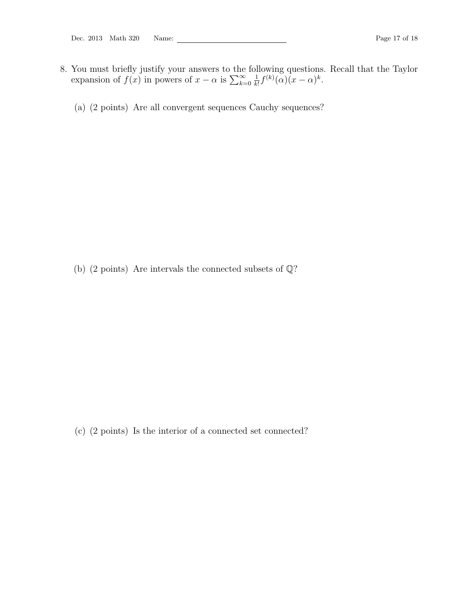- <span id="page-16-0"></span>8. You must briefly justify your answers to the following questions. Recall that the Taylor expansion of  $f(x)$  in powers of  $x - \alpha$  is  $\sum_{k=0}^{\infty}$ 1  $\frac{1}{k!}f^{(k)}(\alpha)(x-\alpha)^k$ .
	- (a) (2 points) Are all convergent sequences Cauchy sequences?

(b) (2 points) Are intervals the connected subsets of  $\mathbb{Q}$ ?

(c) (2 points) Is the interior of a connected set connected?